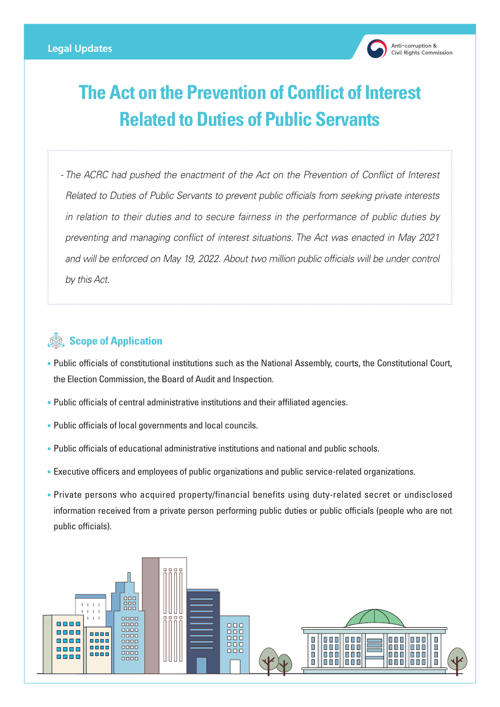

## **The Act on the Prevention of Conflict of Interest Related to Duties of Public Servants**

*- The ACRC had pushed the enactment of the Act on the Prevention of Conflict of Interest Related to Duties of Public Servants to prevent public officials from seeking private interests in relation to their duties and to secure fairness in the performance of public duties by preventing and managing conflict of interest situations. The Act was enacted in May 2021*  and will be enforced on May 19, 2022. About two million public officials will be under control *by this Act.*

## **Scope of Application**

- Public officials of constitutional institutions such as the National Assembly, courts, the Constitutional Court, the Election Commission, the Board of Audit and Inspection.
- Public officials of central administrative institutions and their affiliated agencies.
- Public officials of local governments and local councils.
- Public officials of educational administrative institutions and national and public schools.
- Executive officers and employees of public organizations and public service-related organizations.
- Private persons who acquired property/financial benefits using duty-related secret or undisclosed information received from a private person performing public duties or public officials (people who are not public officials).